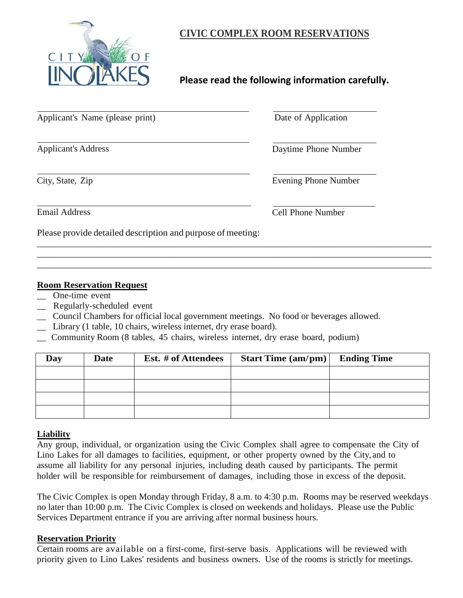

## **CIVIC COMPLEX ROOM RESERVATIONS**

# **Please read the following information carefully.**

| Applicant's Name (please print)                             | Date of Application  |
|-------------------------------------------------------------|----------------------|
| <b>Applicant's Address</b>                                  | Daytime Phone Number |
| City, State, Zip                                            | Evening Phone Number |
| <b>Email Address</b>                                        | Cell Phone Number    |
| Please provide detailed description and purpose of meeting: |                      |

#### **Room Reservation Request**

- One-time event
- \_\_ Regularly-scheduled event
- \_\_ Council Chambers for official local government meetings. No food or beverages allowed.
- \_\_ Library (1 table, 10 chairs, wireless internet, dry erase board).
- \_\_ Community Room (8 tables, 45 chairs, wireless internet, dry erase board, podium)

| Day | <b>Date</b> | Est. # of Attendees | <b>Start Time (am/pm)</b> | <b>Ending Time</b> |
|-----|-------------|---------------------|---------------------------|--------------------|
|     |             |                     |                           |                    |
|     |             |                     |                           |                    |
|     |             |                     |                           |                    |
|     |             |                     |                           |                    |

\_\_\_\_\_\_\_\_\_\_\_\_\_\_\_\_\_\_\_\_\_\_\_\_\_\_\_\_\_\_\_\_\_\_\_\_\_\_\_\_\_\_\_\_\_\_\_\_\_\_\_\_\_\_\_\_\_\_\_\_\_\_\_\_\_\_\_\_\_\_\_\_\_\_\_\_\_\_\_\_\_\_\_ \_\_\_\_\_\_\_\_\_\_\_\_\_\_\_\_\_\_\_\_\_\_\_\_\_\_\_\_\_\_\_\_\_\_\_\_\_\_\_\_\_\_\_\_\_\_\_\_\_\_\_\_\_\_\_\_\_\_\_\_\_\_\_\_\_\_\_\_\_\_\_\_\_\_\_\_\_\_\_\_\_\_\_ \_\_\_\_\_\_\_\_\_\_\_\_\_\_\_\_\_\_\_\_\_\_\_\_\_\_\_\_\_\_\_\_\_\_\_\_\_\_\_\_\_\_\_\_\_\_\_\_\_\_\_\_\_\_\_\_\_\_\_\_\_\_\_\_\_\_\_\_\_\_\_\_\_\_\_\_\_\_\_\_\_\_\_

#### **Liability**

Any group, individual, or organization using the Civic Complex shall agree to compensate the City of Lino Lakes for all damages to facilities, equipment, or other property owned by the City, and to assume all liability for any personal injuries, including death caused by participants. The permit holder will be responsible for reimbursement of damages, including those in excess of the deposit.

The Civic Complex is open Monday through Friday, 8 a.m. to 4:30 p.m. Rooms may be reserved weekdays no later than 10:00 p.m. The Civic Complex is closed on weekends and holidays. Please use the Public Services Department entrance if you are arriving after normal business hours.

#### **Reservation Priority**

Certain rooms are available on a first-come, first-serve basis. Applications will be reviewed with priority given to Lino Lakes' residents and business owners. Use of the rooms is strictly for meetings.